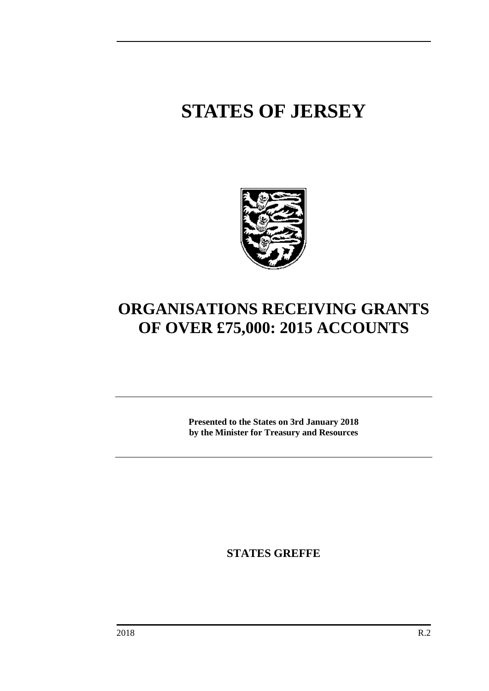# **STATES OF JERSEY**



# **ORGANISATIONS RECEIVING GRANTS OF OVER £75,000: 2015 ACCOUNTS**

**Presented to the States on 3rd January 2018 by the Minister for Treasury and Resources**

**STATES GREFFE**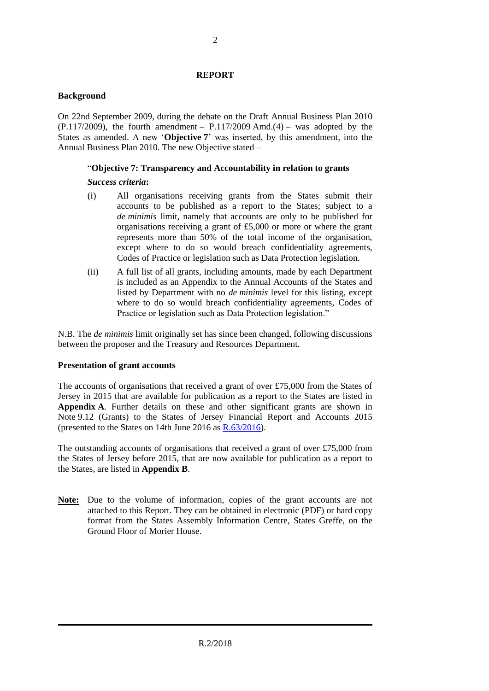#### **REPORT**

#### **Background**

On 22nd September 2009, during the debate on the Draft Annual Business Plan 2010  $(P.117/2009)$ , the fourth amendment –  $P.117/2009$  Amd.(4) – was adopted by the States as amended. A new '**Objective 7**' was inserted, by this amendment, into the Annual Business Plan 2010. The new Objective stated –

# "**Objective 7: Transparency and Accountability in relation to grants**

#### *Success criteria***:**

- (i) All organisations receiving grants from the States submit their accounts to be published as a report to the States; subject to a *de minimis* limit, namely that accounts are only to be published for organisations receiving a grant of £5,000 or more or where the grant represents more than 50% of the total income of the organisation, except where to do so would breach confidentiality agreements, Codes of Practice or legislation such as Data Protection legislation.
- (ii) A full list of all grants, including amounts, made by each Department is included as an Appendix to the Annual Accounts of the States and listed by Department with no *de minimis* level for this listing, except where to do so would breach confidentiality agreements, Codes of Practice or legislation such as Data Protection legislation."

N.B. The *de minimis* limit originally set has since been changed, following discussions between the proposer and the Treasury and Resources Department.

#### **Presentation of grant accounts**

The accounts of organisations that received a grant of over £75,000 from the States of Jersey in 2015 that are available for publication as a report to the States are listed in **Appendix A**. Further details on these and other significant grants are shown in Note 9.12 (Grants) to the States of Jersey Financial Report and Accounts 2015 (presented to the States on 14th June 2016 as [R.63/2016\)](http://www.statesassembly.gov.je/assemblyreports/2016/r.63-2016.pdf).

The outstanding accounts of organisations that received a grant of over £75,000 from the States of Jersey before 2015, that are now available for publication as a report to the States, are listed in **Appendix B**.

**Note:** Due to the volume of information, copies of the grant accounts are not attached to this Report. They can be obtained in electronic (PDF) or hard copy format from the States Assembly Information Centre, States Greffe, on the Ground Floor of Morier House.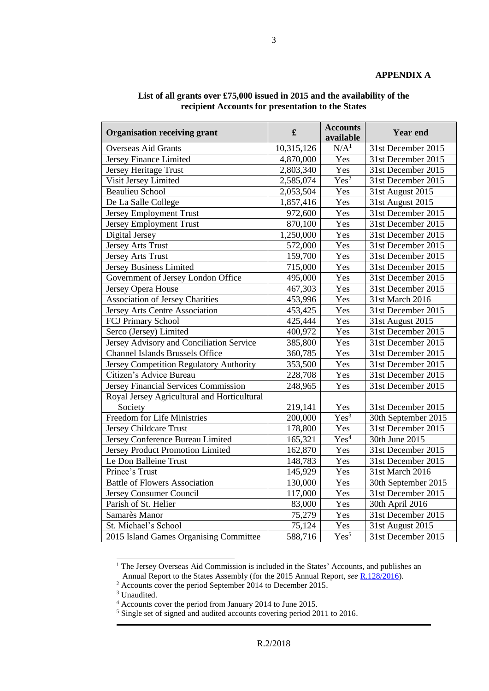# **APPENDIX A**

| <b>Organisation receiving grant</b>         | $\mathbf f$ | <b>Accounts</b><br>available | <b>Year end</b>     |
|---------------------------------------------|-------------|------------------------------|---------------------|
| <b>Overseas Aid Grants</b>                  | 10,315,126  | N/A <sup>1</sup>             | 31st December 2015  |
| Jersey Finance Limited                      | 4,870,000   | Yes                          | 31st December 2015  |
| <b>Jersey Heritage Trust</b>                | 2,803,340   | Yes                          | 31st December 2015  |
| Visit Jersey Limited                        | 2,585,074   | Yes <sup>2</sup>             | 31st December 2015  |
| <b>Beaulieu School</b>                      | 2,053,504   | Yes                          | 31st August 2015    |
| De La Salle College                         | 1,857,416   | Yes                          | 31st August 2015    |
| <b>Jersey Employment Trust</b>              | 972,600     | Yes                          | 31st December 2015  |
| <b>Jersey Employment Trust</b>              | 870,100     | Yes                          | 31st December 2015  |
| Digital Jersey                              | 1,250,000   | Yes                          | 31st December 2015  |
| <b>Jersey Arts Trust</b>                    | 572,000     | Yes                          | 31st December 2015  |
| <b>Jersey Arts Trust</b>                    | 159,700     | Yes                          | 31st December 2015  |
| <b>Jersey Business Limited</b>              | 715,000     | Yes                          | 31st December 2015  |
| Government of Jersey London Office          | 495,000     | Yes                          | 31st December 2015  |
| Jersey Opera House                          | 467,303     | Yes                          | 31st December 2015  |
| <b>Association of Jersey Charities</b>      | 453,996     | Yes                          | 31st March 2016     |
| Jersey Arts Centre Association              | 453,425     | Yes                          | 31st December 2015  |
| FCJ Primary School                          | 425,444     | Yes                          | 31st August 2015    |
| Serco (Jersey) Limited                      | 400,972     | Yes                          | 31st December 2015  |
| Jersey Advisory and Conciliation Service    | 385,800     | Yes                          | 31st December 2015  |
| <b>Channel Islands Brussels Office</b>      | 360,785     | Yes                          | 31st December 2015  |
| Jersey Competition Regulatory Authority     | 353,500     | Yes                          | 31st December 2015  |
| Citizen's Advice Bureau                     | 228,708     | Yes                          | 31st December 2015  |
| Jersey Financial Services Commission        | 248,965     | Yes                          | 31st December 2015  |
| Royal Jersey Agricultural and Horticultural |             |                              |                     |
| Society                                     | 219,141     | Yes                          | 31st December 2015  |
| <b>Freedom for Life Ministries</b>          | 200,000     | $Yes^3$                      | 30th September 2015 |
| <b>Jersey Childcare Trust</b>               | 178,800     | Yes                          | 31st December 2015  |
| Jersey Conference Bureau Limited            | 165,321     | Yes <sup>4</sup>             | 30th June 2015      |
| <b>Jersey Product Promotion Limited</b>     | 162,870     | Yes                          | 31st December 2015  |
| Le Don Balleine Trust                       | 148,783     | Yes                          | 31st December 2015  |
| Prince's Trust                              | 145,929     | Yes                          | 31st March 2016     |
| <b>Battle of Flowers Association</b>        | 130,000     | Yes                          | 30th September 2015 |
| Jersey Consumer Council                     | 117,000     | Yes                          | 31st December 2015  |
| Parish of St. Helier                        | 83,000      | Yes                          | 30th April 2016     |
| Samarès Manor                               | 75,279      | Yes                          | 31st December 2015  |
| St. Michael's School                        | 75,124      | Yes                          | 31st August 2015    |
| 2015 Island Games Organising Committee      | 588,716     | $Yes^5$                      | 31st December 2015  |

# **List of all grants over £75,000 issued in 2015 and the availability of the recipient Accounts for presentation to the States**

1

<sup>&</sup>lt;sup>1</sup> The Jersey Overseas Aid Commission is included in the States' Accounts, and publishes an Annual Report to the States Assembly (for the 2015 Annual Report, see [R.128/2016\)](http://www.statesassembly.gov.je/assemblyreports/2016/r.128-2016.pdf).

 $2$  Accounts cover the period September 2014 to December 2015.

<sup>&</sup>lt;sup>3</sup> Unaudited.

<sup>4</sup> Accounts cover the period from January 2014 to June 2015.

<sup>5</sup> Single set of signed and audited accounts covering period 2011 to 2016.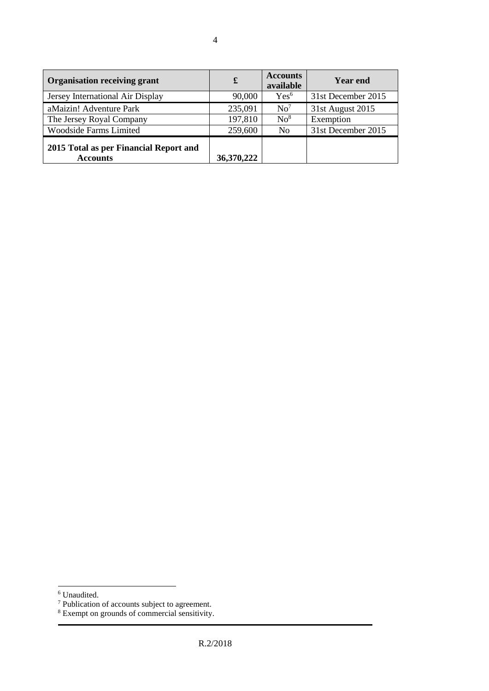| <b>Organisation receiving grant</b>                       | £          | <b>Accounts</b><br>available | <b>Year end</b>    |
|-----------------------------------------------------------|------------|------------------------------|--------------------|
| Jersey International Air Display                          | 90,000     | Yes <sup>6</sup>             | 31st December 2015 |
| aMaizin! Adventure Park                                   | 235,091    | No <sup>7</sup>              | 31st August 2015   |
| The Jersey Royal Company                                  | 197,810    | $\mathrm{No}^8$              | Exemption          |
| <b>Woodside Farms Limited</b>                             | 259,600    | N <sub>0</sub>               | 31st December 2015 |
| 2015 Total as per Financial Report and<br><b>Accounts</b> | 36,370,222 |                              |                    |

 $\overline{a}$ 

<sup>6</sup> Unaudited.

<sup>&</sup>lt;sup>7</sup> Publication of accounts subject to agreement.

<sup>&</sup>lt;sup>8</sup> Exempt on grounds of commercial sensitivity.